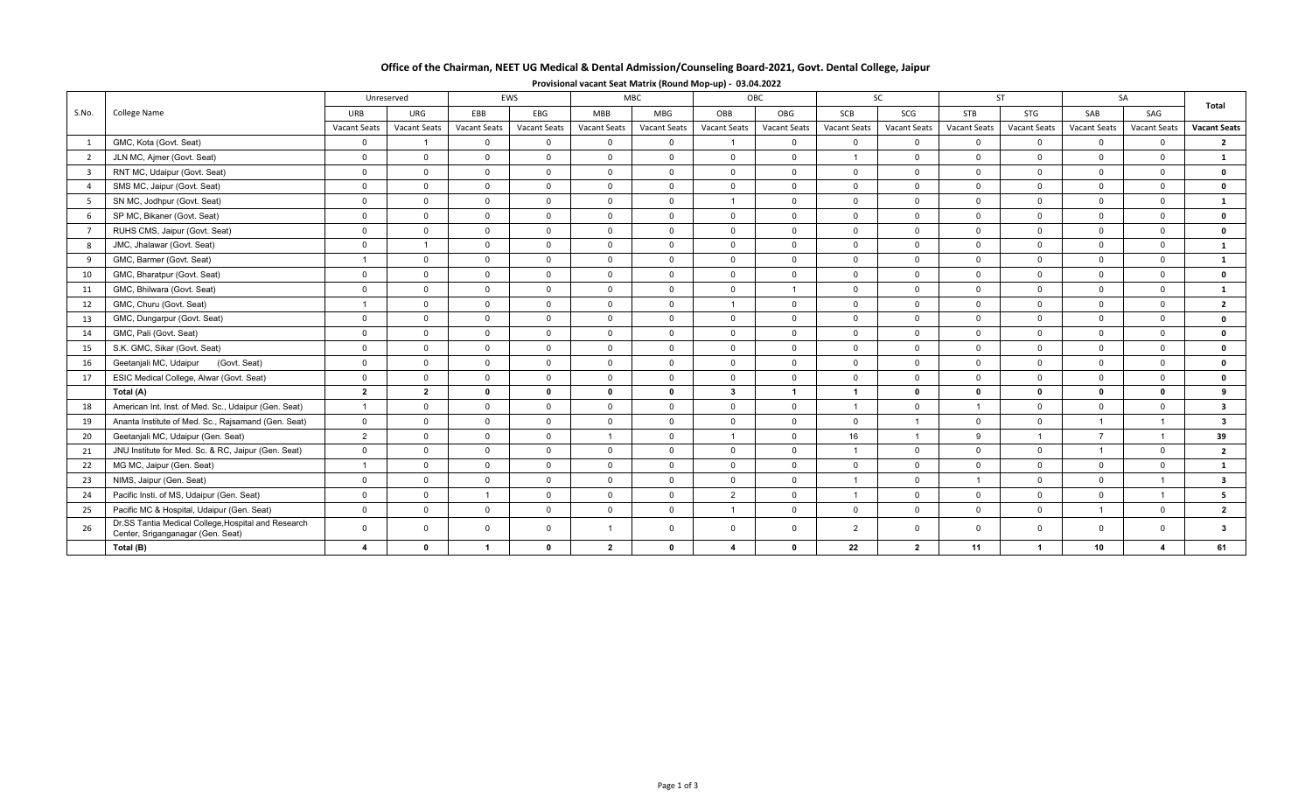| Office of the Chairman, NEET UG Medical & Dental Admission/Counseling Board-2021, Govt. Dental College, Jaipur |  |  |  |  |
|----------------------------------------------------------------------------------------------------------------|--|--|--|--|
|----------------------------------------------------------------------------------------------------------------|--|--|--|--|

|                |                                                                                          |                        | Unreserved          |                     | EWS                 | <b>MBC</b>     |                     |                         | OBC                  |                      | SC                  |                | <b>ST</b>           |                     | SA                     | Total                   |
|----------------|------------------------------------------------------------------------------------------|------------------------|---------------------|---------------------|---------------------|----------------|---------------------|-------------------------|----------------------|----------------------|---------------------|----------------|---------------------|---------------------|------------------------|-------------------------|
| S.No.          | College Name                                                                             | URB                    | URG                 | EBB                 | EBG                 | <b>MBB</b>     | <b>MBG</b>          | OBB                     | OBG                  | SCB                  | SCG                 | <b>STB</b>     | STG                 | SAB                 | SAG                    |                         |
|                |                                                                                          | <b>Vacant Seats</b>    | <b>Vacant Seats</b> | <b>Vacant Seats</b> | <b>Vacant Seats</b> | Vacant Seats   | <b>Vacant Seats</b> | <b>Vacant Seats</b>     | <b>Vacant Seats</b>  | <b>Vacant Seats</b>  | <b>Vacant Seats</b> | Vacant Seats   | <b>Vacant Seats</b> | <b>Vacant Seats</b> | <b>Vacant Seats</b>    | <b>Vacant Seats</b>     |
| $\mathbf{1}$   | GMC, Kota (Govt. Seat)                                                                   | $\mathsf{O}$           |                     | $\mathbf 0$         | $\mathbf 0$         | $\mathbf 0$    | $\mathbf 0$         | $\overline{1}$          | $\mathbf{0}$         | $\mathbf 0$          | $\mathbf{0}$        | $\mathbf{0}$   | $\mathbf 0$         | $\Omega$            | $\mathbf{0}$           | $\overline{2}$          |
| 2              | JLN MC, Ajmer (Govt. Seat)                                                               | $\overline{0}$         | $\Omega$            | $\mathbf 0$         | $\overline{0}$      | $\mathbf 0$    | $\overline{0}$      | $\overline{0}$          | $\Omega$             |                      | $\mathbf 0$         | $\Omega$       | $\overline{0}$      | $\Omega$            | $\Omega$               | $\mathbf{1}$            |
| $\overline{3}$ | RNT MC, Udaipur (Govt. Seat)                                                             | $\Omega$               | $\Omega$            | $\Omega$            | $\overline{0}$      | $\mathbf 0$    | $\overline{0}$      | $\Omega$                | $\Omega$             | $\Omega$             | $\Omega$            | $\Omega$       | $\Omega$            | $\Omega$            | $\Omega$               | $\mathbf 0$             |
| $\overline{4}$ | SMS MC, Jaipur (Govt. Seat)                                                              | $\mathbf 0$            | $\Omega$            | $\Omega$            | $\overline{0}$      | $\Omega$       | $\overline{0}$      | $\Omega$                | $\Omega$             | $\Omega$             | $\mathbf 0$         | $\Omega$       | $\Omega$            | $\Omega$            | $\Omega$               | $\mathbf 0$             |
| 5 <sup>5</sup> | SN MC, Jodhpur (Govt. Seat)                                                              | $\mathbf 0$            | $\Omega$            | $\mathbf 0$         | $\mathbf 0$         | $\mathbf 0$    | $\mathbf 0$         | $\overline{1}$          | $\mathbf 0$          | $\mathbf{0}$         | $\mathbf{0}$        | $\mathbf 0$    | $\overline{0}$      | $\Omega$            | $\mathbf{0}$           | $\mathbf{1}$            |
| 6              | SP MC, Bikaner (Govt. Seat)                                                              | $\mathbf 0$            | $\Omega$            | $\mathbf 0$         | $\overline{0}$      | $\mathbf 0$    | $\overline{0}$      | $\overline{0}$          | $\Omega$             | $\Omega$             | $\Omega$            | $\Omega$       | $\overline{0}$      | $\Omega$            | $\Omega$               | $\mathbf 0$             |
| $\overline{7}$ | RUHS CMS, Jaipur (Govt. Seat)                                                            | $\overline{0}$         | $\Omega$            | $\overline{0}$      | $\overline{0}$      | $\overline{0}$ | $\mathbf{0}$        | $\overline{0}$          | $\Omega$             | $\mathbf 0$          | $\mathbf 0$         | $\Omega$       | $\mathbf{0}$        | $\Omega$            | $\Omega$               | $\mathbf 0$             |
| 8              | JMC, Jhalawar (Govt. Seat)                                                               | $\Omega$               |                     | $\Omega$            | $\mathbf 0$         | $\mathbf 0$    | $\mathbf 0$         | $\mathbf 0$             | $\Omega$             | $\Omega$             | $\mathbf 0$         | $\mathbf 0$    | $\overline{0}$      | $\Omega$            | $\Omega$               | $\mathbf{1}$            |
| 9              | GMC, Barmer (Govt. Seat)                                                                 |                        | $\Omega$            | $\mathbf 0$         | $\overline{0}$      | $\mathbf 0$    | $\overline{0}$      | $\overline{0}$          | $\mathbf 0$          | $\Omega$             | $\mathbf 0$         | $\mathbf{0}$   | $\mathbf 0$         | $\Omega$            | $\mathbf{0}$           | $\mathbf{1}$            |
| 10             | GMC, Bharatpur (Govt. Seat)                                                              | $\overline{0}$         | $\Omega$            | $\mathbf 0$         | $\overline{0}$      | $\mathbf 0$    | $\overline{0}$      | $\overline{0}$          | $\mathbf 0$          | $\mathbf 0$          | $\mathbf 0$         | $\overline{0}$ | $\overline{0}$      | $\Omega$            | $\mathbf{0}$           | $\mathbf 0$             |
| 11             | GMC, Bhilwara (Govt. Seat)                                                               | $\mathbf 0$            | $\Omega$            | $\mathbf 0$         | $\mathbf 0$         | $\mathbf 0$    | $\mathbf 0$         | $\mathbf 0$             | $\mathbf{1}$         | $\mathbf{0}$         | $\Omega$            | $\mathbf{0}$   | $\overline{0}$      | $\Omega$            | $\Omega$               | $\mathbf{1}$            |
| 12             | GMC, Churu (Govt. Seat)                                                                  |                        | $\Omega$            | $\mathbf 0$         | $\mathbf 0$         | $\mathbf 0$    | $\mathbf 0$         | $\overline{1}$          | $\mathbf{0}$         | $\mathbf{0}$         | $\mathbf{0}$        | $\mathbf{0}$   | $\overline{0}$      | $\Omega$            | $\Omega$               | $\overline{2}$          |
| 13             | GMC, Dungarpur (Govt. Seat)                                                              | $\mathbf 0$            | $\mathbf 0$         | $\mathbf{0}$        | $\mathbf 0$         | $\mathsf{O}$   | $\mathbf 0$         | $\overline{0}$          | $\mathbf 0$          | $\mathbf{0}$         | $\mathbf{0}$        | $\mathbf{0}$   | $\overline{0}$      | $\mathbf{0}$        | $\mathbf{0}$           | $\mathbf 0$             |
| 14             | GMC, Pali (Govt. Seat)                                                                   | $\Omega$               | $\Omega$            | $\mathbf 0$         | $\overline{0}$      | $\mathbf 0$    | $\overline{0}$      | $\Omega$                | $\Omega$             | $\Omega$             | $\Omega$            | $\Omega$       | $\Omega$            | $\Omega$            | $\Omega$               | $\mathbf 0$             |
| 15             | S.K. GMC, Sikar (Govt. Seat)                                                             | $\overline{0}$         | $\Omega$            | $\Omega$            | $\overline{0}$      | $\mathbf 0$    | $\overline{0}$      | $\overline{0}$          | $\Omega$             | $\Omega$             | $\Omega$            | $\Omega$       | $\Omega$            | $\Omega$            | $\Omega$               | $\mathbf{0}$            |
| 16             | Geetanjali MC, Udaipur<br>(Govt. Seat)                                                   | $\mathbf 0$            | $\Omega$            | $\mathbf 0$         | $\mathbf 0$         | $\mathbf 0$    | $\mathbf 0$         | $\mathbf 0$             | $\mathbf 0$          | $\Omega$             | $\mathbf 0$         | $\Omega$       | $\overline{0}$      | $\Omega$            | $\Omega$               | $\mathbf 0$             |
| 17             | ESIC Medical College, Alwar (Govt. Seat)                                                 | $\overline{0}$         | $\Omega$            | $\mathbf{0}$        | $\overline{0}$      | $\mathbf 0$    | $\mathbf 0$         | $\overline{0}$          | $\mathbf 0$          | $\Omega$             | $\mathbf{0}$        | $\mathbf{0}$   | $\overline{0}$      | $\Omega$            | $\Omega$               | $\mathbf 0$             |
|                | Total (A)                                                                                | $\overline{2}$         | $\overline{2}$      | $\mathbf{0}$        | $\mathbf 0$         | $\mathbf{0}$   | $\mathbf 0$         | $\overline{\mathbf{3}}$ | $\blacktriangleleft$ | $\blacktriangleleft$ | $\mathbf{0}$        | $\mathbf{0}$   | $\mathbf{0}$        | $\mathbf{0}$        | $\mathbf{0}$           | 9                       |
| 18             | American Int. Inst. of Med. Sc., Udaipur (Gen. Seat)                                     |                        | $\Omega$            | $\Omega$            | $\overline{0}$      | $\mathbf 0$    | $\overline{0}$      | $\Omega$                | $\Omega$             |                      | $\Omega$            | $\overline{ }$ | $\Omega$            | $\Omega$            | $\Omega$               | $\overline{\mathbf{3}}$ |
| 19             | Ananta Institute of Med. Sc., Rajsamand (Gen. Seat)                                      | $\mathbf 0$            | $\Omega$            | $\Omega$            | $\overline{0}$      | $\Omega$       | $\overline{0}$      | $\mathbf 0$             | $\Omega$             | $\Omega$             |                     | $\Omega$       | $\mathbf 0$         | $\overline{1}$      |                        | $\mathbf{3}$            |
| 20             | Geetanjali MC, Udaipur (Gen. Seat)                                                       | 2                      | $\mathbf 0$         | $\mathbf 0$         | $\mathbf 0$         | - 1            | $\mathbf 0$         | $\overline{1}$          | $\mathbf 0$          | 16                   |                     | 9              |                     | $\overline{7}$      |                        | 39                      |
| 21             | JNU Institute for Med. Sc. & RC, Jaipur (Gen. Seat)                                      | $\overline{0}$         | $\Omega$            | $\mathbf 0$         | $\mathbf 0$         | $\mathbf 0$    | $\overline{0}$      | $\overline{0}$          | $\mathbf 0$          |                      | $\mathbf 0$         | $\mathbf 0$    | $\overline{0}$      |                     | $\mathbf{0}$           | $\overline{2}$          |
| 22             | MG MC, Jaipur (Gen. Seat)                                                                |                        | $\Omega$            | $\mathbf 0$         | $\mathbf 0$         | $\overline{0}$ | $\mathbf 0$         | $\mathbf 0$             | $\mathbf 0$          | $\mathbf 0$          | $\mathbf 0$         | $\mathbf{0}$   | $\overline{0}$      | $\Omega$            | $\mathbf{0}$           | $\mathbf{1}$            |
| 23             | NIMS, Jaipur (Gen. Seat)                                                                 | $\Omega$               | $\Omega$            | $\mathbf 0$         | $\mathbf 0$         | $\mathbf 0$    | $\mathbf 0$         | $\mathbf 0$             | $\mathbf 0$          |                      | $\mathbf 0$         |                | $\overline{0}$      | $\Omega$            |                        | $\mathbf{3}$            |
| 24             | Pacific Insti. of MS, Udaipur (Gen. Seat)                                                | $\Omega$               | $\Omega$            |                     | $\mathbf 0$         | $\mathbf 0$    | $\mathbf 0$         | 2                       | $\mathbf 0$          |                      | $\mathbf 0$         | $\mathbf{0}$   | $\mathbf 0$         | $\Omega$            |                        | 5                       |
| 25             | Pacific MC & Hospital, Udaipur (Gen. Seat)                                               | $\overline{0}$         | $\Omega$            | $\mathbf 0$         | $\overline{0}$      | $\mathbf 0$    | $\overline{0}$      | $\overline{1}$          | $\Omega$             | $\Omega$             | $\mathbf{0}$        | $\Omega$       | $\overline{0}$      | $\overline{1}$      | $\Omega$               | $\overline{2}$          |
| 26             | Dr.SS Tantia Medical College, Hospital and Research<br>Center, Sriganganagar (Gen. Seat) | $\mathbf 0$            | $\mathbf 0$         | $\mathsf{O}$        | $\mathbf 0$         |                | $\mathbf{0}$        | $\mathbf 0$             | $\mathbf{0}$         | $\overline{2}$       | $\mathbf{0}$        | $\Omega$       | $\Omega$            | $\Omega$            | $\Omega$               | $\mathbf{3}$            |
|                | Total (B)                                                                                | $\boldsymbol{\Lambda}$ | $\mathbf{0}$        | $\mathbf{A}$        | $\mathbf 0$         | $\overline{2}$ | $\mathbf 0$         | $\overline{\mathbf{A}}$ | $\mathbf{0}$         | 22                   | $\overline{2}$      | 11             | $\overline{1}$      | 10                  | $\boldsymbol{\Lambda}$ | 61                      |

**Provisional vacant Seat Matrix (Round Mop‐up) ‐ 03.04.2022**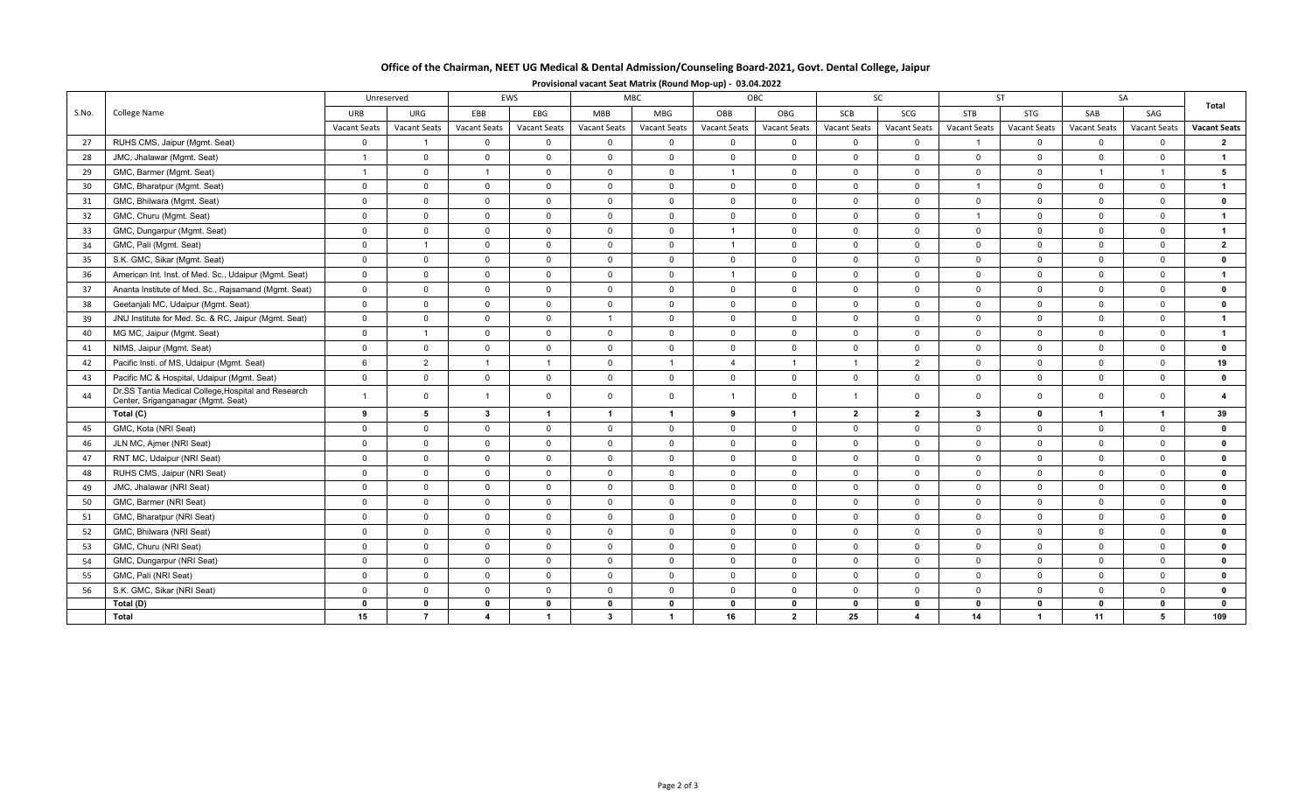| Office of the Chairman, NEET UG Medical & Dental Admission/Counseling Board-2021, Govt. Dental College, Jaipur |  |  |  |  |
|----------------------------------------------------------------------------------------------------------------|--|--|--|--|
|----------------------------------------------------------------------------------------------------------------|--|--|--|--|

|       |                                                                                           |                | Unreserved                    |                     | EWS                 |                         | <b>MBC</b>                           |                     | OBC                 |                     | SC             |                         | <b>ST</b>                      |                         | SA                  |                         |
|-------|-------------------------------------------------------------------------------------------|----------------|-------------------------------|---------------------|---------------------|-------------------------|--------------------------------------|---------------------|---------------------|---------------------|----------------|-------------------------|--------------------------------|-------------------------|---------------------|-------------------------|
| S.No. | College Name                                                                              | <b>URB</b>     | URG                           | EBB                 | EBG                 | <b>MBB</b>              | <b>MBG</b>                           | OBB                 | OBG                 | SCB                 | SCG            | STB                     | <b>STG</b>                     | SAB                     | SAG                 | Total                   |
|       |                                                                                           | Vacant Seat:   | <b>Vacant Seats</b>           | <b>Vacant Seats</b> | <b>Vacant Seats</b> | Vacant Seats            | Vacant Seats                         | <b>Vacant Seats</b> | <b>Vacant Seats</b> | <b>Vacant Seats</b> | Vacant Seats   | Vacant Seats            | Vacant Seats                   | <b>Vacant Seats</b>     | <b>Vacant Seats</b> | <b>Vacant Seats</b>     |
| 27    | RUHS CMS, Jaipur (Mgmt. Seat)                                                             | $\mathbf 0$    | $\overline{1}$                | $\mathbf 0$         | $\overline{0}$      | $\overline{0}$          | $\mathbf 0$                          | $\overline{0}$      | $\mathbf 0$         | $\Omega$            | $\Omega$       | $\overline{1}$          | $\Omega$                       | $\Omega$                | $\mathbf 0$         | $\overline{2}$          |
| 28    | JMC, Jhalawar (Mgmt. Seat)                                                                | $\overline{1}$ | $\mathbf 0$                   | $\mathbf 0$         | $\overline{0}$      | $\mathbf 0$             | $\mathbf 0$                          | $\overline{0}$      | $\mathsf{O}$        | $\mathbf 0$         | $\mathbf 0$    | $\overline{0}$          | $\mathbf 0$                    | $\mathbf 0$             | $\mathbf 0$         | $\mathbf{1}$            |
| 29    | GMC, Barmer (Mgmt. Seat)                                                                  | $\overline{1}$ | $\mathbf 0$                   | $\overline{1}$      | $\mathbf 0$         | $\mathbf 0$             | $\mathbf 0$                          | $\mathbf{1}$        | $\mathbf 0$         | $\mathbf 0$         | $\mathbf 0$    | $\Omega$                | $\mathbf 0$                    | $\overline{1}$          | $\overline{1}$      | $5\phantom{.0}$         |
| 30    | GMC, Bharatpur (Mgmt. Seat)                                                               | $\mathbf 0$    | $\mathbf 0$                   | $\mathbf 0$         | $\overline{0}$      | $\mathbf 0$             | $\mathbf 0$                          | $\mathbf 0$         | $\mathbf 0$         | $\mathbf 0$         | $\mathbf{0}$   | $\overline{1}$          | $\mathbf 0$                    | $\mathbf 0$             | $\overline{0}$      | $\mathbf{1}$            |
| 31    | GMC, Bhilwara (Mgmt. Seat)                                                                | $\mathsf{O}$   | $\mathbf 0$                   | $\mathbf 0$         | $\overline{0}$      | $\mathbf 0$             | $\mathbf 0$                          | $\overline{0}$      | $\mathsf{O}$        | $\mathbf 0$         | $\mathbf 0$    | $\overline{0}$          | $\mathbf 0$                    | $\mathbf 0$             | $\mathbf{0}$        | $\mathbf 0$             |
| 32    | GMC, Churu (Mgmt. Seat)                                                                   | $\mathbf 0$    | $\mathbf{0}$                  | $\mathbf 0$         | $\overline{0}$      | $\overline{0}$          | $\mathbf 0$                          | $\mathbf 0$         | $\mathbf 0$         | $\mathbf 0$         | $\mathbf{0}$   | $\overline{1}$          | $\mathbf 0$                    | $\mathbf 0$             | $\Omega$            | $\mathbf{1}$            |
| 33    | GMC, Dungarpur (Mgmt. Seat)                                                               | $\mathbf 0$    | $\overline{0}$                | $\mathbf 0$         | $\mathbf 0$         | $\overline{0}$          | $\mathbf 0$                          | $\overline{1}$      | $\mathbf 0$         | $\mathbf 0$         | $\mathbf 0$    | $\mathbf 0$             | $\mathbf 0$                    | $\mathbf 0$             | $\Omega$            | $\mathbf{1}$            |
| 34    | GMC, Pali (Mgmt. Seat)                                                                    | $\mathbf 0$    | $\overline{1}$                | $\mathbf 0$         | $\overline{0}$      | $\overline{0}$          | $\mathbf 0$                          | $\overline{1}$      | $\mathbf 0$         | $\mathbf 0$         | $\mathbf 0$    | $\mathbf 0$             | $\Omega$                       | $\Omega$                | $\mathbf{0}$        | $\overline{2}$          |
| 35    | S.K. GMC, Sikar (Mgmt. Seat)                                                              | $\mathbf 0$    | $\mathbf 0$                   | $\mathbf 0$         | $\overline{0}$      | $\mathsf 0$             | $\mathbf 0$                          | $\overline{0}$      | $\mathsf{O}$        | $\mathbf 0$         | $\mathbf{0}$   | $\mathbf 0$             | $\mathbf 0$                    | $\Omega$                | $\mathbf{0}$        | $\mathbf{0}$            |
| 36    | American Int. Inst. of Med. Sc., Udaipur (Mgmt. Seat)                                     | $\mathsf{O}$   | $\mathbf 0$                   | $\mathbf 0$         | $\overline{0}$      | $\mathbf 0$             | $\mathbf 0$                          | $\overline{1}$      | $\mathsf{O}$        | $\mathbf 0$         | $\mathbf{0}$   | $\mathbf 0$             | $\mathbf 0$                    | $\mathbf 0$             | $\mathbf{0}$        | $\mathbf{1}$            |
| 37    | Ananta Institute of Med. Sc., Rajsamand (Mgmt. Seat)                                      | $\overline{0}$ | $\mathbf 0$                   | $\mathbf 0$         | $\overline{0}$      | $\mathbf 0$             | $\mathbf 0$                          | $\overline{0}$      | $\mathsf{O}$        | $\mathbf 0$         | $\mathbf{0}$   | $\mathbf 0$             | $\mathbf 0$                    | $\mathbf 0$             | $\mathbf 0$         | $\mathbf 0$             |
| 38    | Geetanjali MC, Udaipur (Mgmt. Seat)                                                       | $\mathbf 0$    | $\mathbf 0$                   | $\mathbf 0$         | $\overline{0}$      | $\mathbf 0$             | $\mathbf 0$                          | $\overline{0}$      | $\mathsf 0$         | $\mathbf 0$         | $\mathbf 0$    | $\overline{0}$          | $\mathbf 0$                    | $\mathbf 0$             | $\mathbf 0$         | $\mathbf 0$             |
| 39    | JNU Institute for Med. Sc. & RC, Jaipur (Mgmt. Seat)                                      | $\mathbf 0$    | $\mathbf 0$                   | $\mathbf 0$         | $\mathbf 0$         | $\overline{1}$          | $\mathbf 0$                          | $\mathbf{0}$        | $\mathsf{O}$        | $\mathbf 0$         | $\mathbf{0}$   | $\overline{0}$          | $\mathbf 0$                    | $\mathbf{0}$            | $\mathbf{0}$        | $\mathbf{1}$            |
| 40    | MG MC, Jaipur (Mgmt. Seat)                                                                | $\mathbf{0}$   | $\mathbf{1}$                  | $\mathbf 0$         | $\mathbf 0$         | $\overline{0}$          | $\mathbf 0$                          | $\mathbf{0}$        | $\mathbf 0$         | $\Omega$            | $\mathbf{0}$   | $\overline{0}$          | $\Omega$                       | $\mathbf{0}$            | $\mathbf 0$         | $\mathbf{1}$            |
| 41    | NIMS, Jaipur (Mgmt. Seat)                                                                 | $\mathbf 0$    | $\mathbf{0}$                  | $\mathbf 0$         | $\mathbf 0$         | $\overline{0}$          | $\mathbf 0$                          | $\overline{0}$      | $\mathbf{0}$        | $\mathbf 0$         | $\mathbf{0}$   | $\overline{0}$          | $\mathbf 0$                    | $\mathbf 0$             | $\mathbf 0$         | $\mathbf 0$             |
| 42    | Pacific Insti. of MS, Udaipur (Mgmt. Seat)                                                | 6              | 2                             | $\overline{1}$      | $\mathbf{1}$        | $\mathbf 0$             | $\overline{1}$                       | $\overline{4}$      | $\mathbf{1}$        |                     | $\overline{2}$ | $\overline{0}$          | $\mathbf 0$                    | $\mathbf{0}$            | $\mathbf 0$         | 19                      |
| 43    | Pacific MC & Hospital, Udaipur (Mgmt. Seat)                                               | $\mathbf 0$    | $\mathbf 0$                   | $\mathbf 0$         | $\overline{0}$      | $\overline{0}$          | $\mathbf 0$                          | $\overline{0}$      | $\mathbf 0$         | $\mathbf 0$         | $\mathbf{0}$   | $\overline{0}$          | $\mathbf 0$                    | $\mathbf 0$             | $\mathbf 0$         | $\mathbf 0$             |
| 44    | Dr.SS Tantia Medical College, Hospital and Research<br>Center, Sriganganagar (Mgmt. Seat) | $\overline{1}$ | $\mathbf 0$                   | $\overline{1}$      | $\mathbf 0$         | $\mathbf 0$             | $\mathbf 0$                          | $\overline{1}$      | $\mathbf 0$         |                     | $\mathbf{0}$   | $\overline{0}$          | $\mathbf 0$                    | $\mathbf{0}$            | $\mathbf 0$         | $\overline{\mathbf{4}}$ |
|       | Total (C)                                                                                 | 9              | 5                             | $\mathbf{3}$        | $\mathbf{1}$        | $\overline{1}$          | $\mathbf{1}$                         | 9                   | $\overline{1}$      | $\mathbf{2}$        | $\mathbf{2}$   | $\overline{\mathbf{3}}$ | $\mathbf 0$                    | $\overline{\mathbf{1}}$ | $\overline{1}$      | 39                      |
| 45    | GMC, Kota (NRI Seat)                                                                      | $\mathsf{O}$   | $\mathbf 0$                   | $\mathbf 0$         | $\overline{0}$      | $\mathbf 0$             | $\mathbf 0$                          | $\mathbf 0$         | $\mathbf 0$         | $\mathbf 0$         | $\mathbf 0$    | $\overline{0}$          | $\mathbf 0$                    | $\mathbf 0$             | $\mathbf{0}$        | $\mathbf 0$             |
| 46    | JLN MC, Ajmer (NRI Seat)                                                                  | $\mathsf{O}$   | $\overline{0}$                | $\mathbf 0$         | $\overline{0}$      | $\overline{0}$          | $\mathbf 0$                          | $\overline{0}$      | $\mathbf 0$         | $\mathbf 0$         | $\mathbf{0}$   | $\overline{0}$          | $\mathbf 0$                    | $\mathbf 0$             | $\Omega$            | $\mathbf 0$             |
| 47    | RNT MC, Udaipur (NRI Seat)                                                                | $\mathbf 0$    | $\overline{0}$                | $\mathbf 0$         | $\overline{0}$      | $\overline{0}$          | $\mathbf 0$                          | $\overline{0}$      | $\mathbf 0$         | $\mathbf 0$         | $\mathbf 0$    | $\mathbf 0$             | $\mathbf 0$                    | $\mathbf 0$             | $\mathbf 0$         | $\mathbf 0$             |
| 48    | RUHS CMS, Jaipur (NRI Seat)                                                               | $\mathbf 0$    | $\overline{0}$                | $\mathbf 0$         | $\overline{0}$      | $\mathbf 0$             | $\mathbf 0$                          | $\overline{0}$      | $\mathbf 0$         | $\mathbf 0$         | $\mathbf{0}$   | $\overline{0}$          | $\mathbf 0$                    | $\Omega$                | $\mathbf{0}$        | $\mathbf 0$             |
| 49    | JMC, Jhalawar (NRI Seat)                                                                  | $\mathsf{O}$   | $\mathbf 0$                   | $\mathbf 0$         | $\overline{0}$      | $\mathbf 0$             | $\mathbf 0$                          | $\overline{0}$      | $\mathsf{O}$        | $\mathbf 0$         | $\mathbf{0}$   | $\mathbf 0$             | $\mathbf 0$                    | $\mathbf 0$             | $\mathbf{0}$        | $\mathbf{0}$            |
| 50    | GMC, Barmer (NRI Seat)                                                                    | $\mathsf{O}$   | $\mathbf 0$                   | $\mathbf 0$         | $\overline{0}$      | $\mathbf 0$             | $\mathbf 0$                          | $\overline{0}$      | $\mathsf{O}$        | $\mathbf 0$         | $\mathbf{0}$   | $\mathbf 0$             | $\mathbf 0$                    | $\mathbf 0$             | $\mathbf{0}$        | $\mathbf 0$             |
| 51    | GMC, Bharatpur (NRI Seat)                                                                 | $\mathbf 0$    | $\mathbf 0$                   | $\mathbf 0$         | $\mathbf 0$         | $\mathbf 0$             | $\mathbf 0$                          | $\mathbf 0$         | $\mathbf 0$         | $\mathbf 0$         | $\mathbf{0}$   | $\mathbf 0$             | $\mathbf 0$                    | $\mathbf 0$             | $\mathbf 0$         | $\mathbf 0$             |
| 52    | GMC, Bhilwara (NRI Seat)                                                                  | $\mathbf 0$    | $\mathbf 0$                   | $\mathbf 0$         | $\overline{0}$      | $\mathsf 0$             | $\mathbf 0$                          | $\overline{0}$      | $\mathsf 0$         | $\mathbf 0$         | $\mathbf 0$    | $\overline{0}$          | $\mathbf 0$                    | $\mathbf 0$             | $\mathbf{0}$        | $\mathbf 0$             |
| 53    | GMC, Churu (NRI Seat)                                                                     | $\mathsf{O}$   | $\mathbf 0$                   | $\mathbf 0$         | $\overline{0}$      | $\mathbf 0$             | $\mathbf 0$                          | $\overline{0}$      | $\mathsf{O}$        | $\mathbf 0$         | $\mathbf 0$    | $\overline{0}$          | $\mathbf 0$                    | $\mathbf 0$             | $\mathbf 0$         | $\mathbf 0$             |
| 54    | GMC, Dungarpur (NRI Seat)                                                                 | $\mathsf{O}$   | $\mathsf 0$                   | $\mathbf 0$         | $\mathsf{O}$        | $\overline{0}$          | $\mathbf 0$                          | $\overline{0}$      | $\mathbf 0$         | $\mathbf 0$         | $\mathbf{0}$   | $\Omega$                | $\mathbf 0$                    | $\mathbf 0$             | $\mathbf 0$         | $\mathbf 0$             |
| 55    | GMC, Pali (NRI Seat)                                                                      | $\mathbf 0$    | $\mathbf 0$                   | $\mathbf 0$         | $\overline{0}$      | $\overline{0}$          | $\mathbf 0$                          | $\overline{0}$      | $\mathsf{O}$        | $\mathbf 0$         | $\mathbf{0}$   | $\mathbf 0$             | $\Omega$                       | $\mathbf 0$             | $\mathbf 0$         | $\mathbf 0$             |
| 56    | S.K. GMC, Sikar (NRI Seat)                                                                | $\mathbf 0$    | $\mathbf 0$                   | $\mathbf 0$         | $\mathbf 0$         | $\mathbf 0$             | $\mathbf 0$                          | $\overline{0}$      | $\mathsf{O}$        | $\mathbf 0$         | $\mathbf 0$    | $\Omega$                | $\mathbf 0$                    | $\mathbf 0$             | $\mathbf 0$         | $\mathbf 0$             |
|       | Total (D)                                                                                 | $\mathbf{0}$   | $\mathbf 0$<br>$\overline{ }$ | $\mathbf{0}$        | $\mathbf{0}$<br>-1  | $\mathbf{0}$            | $\mathbf{0}$<br>$\blacktriangleleft$ | $\Omega$            | 0                   | $\mathbf{0}$        | $\mathbf{0}$   | $\mathbf{0}$            | $\mathbf{0}$<br>$\overline{1}$ | $\mathbf{0}$<br>11      | $\Omega$            | $\mathbf{0}$            |
|       | Total                                                                                     | 15             |                               | $\mathbf{4}$        |                     | $\overline{\mathbf{3}}$ |                                      | 16                  | $\overline{2}$      | 25                  | 4              | 14                      |                                |                         | 5                   | 109                     |

**Provisional vacant Seat Matrix (Round Mop‐up) ‐ 03.04.2022**